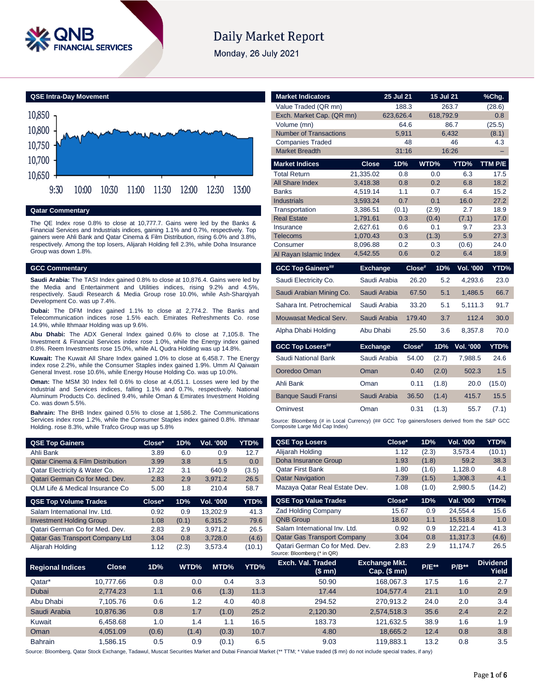

# **Daily Market Report**

Monday, 26 July 2021



**Qatar Commentary**

The QE Index rose 0.8% to close at 10,777.7. Gains were led by the Banks & Financial Services and Industrials indices, gaining 1.1% and 0.7%, respectively. Top gainers were Ahli Bank and Qatar Cinema & Film Distribution, rising 6.0% and 3.8%, respectively. Among the top losers, Alijarah Holding fell 2.3%, while Doha Insurance Group was down 1.8%.

#### **GCC Commentary**

**Saudi Arabia:** The TASI Index gained 0.8% to close at 10,876.4. Gains were led by the Media and Entertainment and Utilities indices, rising 9.2% and 4.5%, respectively. Saudi Research & Media Group rose 10.0%, while Ash-Sharqiyah Development Co. was up 7.4%.

**Dubai:** The DFM Index gained 1.1% to close at 2,774.2. The Banks and Telecommunication indices rose 1.5% each. Emirates Refreshments Co. rose 14.9%, while Ithmaar Holding was up 9.6%.

**Abu Dhabi:** The ADX General Index gained 0.6% to close at 7,105.8. The Investment & Financial Services index rose 1.0%, while the Energy index gained 0.8%. Reem Investments rose 15.0%, while AL Qudra Holding was up 14.8%.

**Kuwait:** The Kuwait All Share Index gained 1.0% to close at 6,458.7. The Energy index rose 2.2%, while the Consumer Staples index gained 1.9%. Umm Al Qaiwain General Invest. rose 10.6%, while Energy House Holding Co. was up 10.0%.

**Oman:** The MSM 30 Index fell 0.6% to close at 4,051.1. Losses were led by the Industrial and Services indices, falling 1.1% and 0.7%, respectively. National Aluminum Products Co. declined 9.4%, while Oman & Emirates Investment Holding Co. was down 5.5%.

**Bahrain:** The BHB Index gained 0.5% to close at 1,586.2. The Communications Services index rose 1.2%, while the Consumer Staples index gained 0.8%. Ithmaar Holding. rose 8.3%, while Trafco Group was up 5.8%

| <b>QSE Top Gainers</b>                      | Close* | 1D% | <b>Vol. '000</b> | YTD%  |
|---------------------------------------------|--------|-----|------------------|-------|
| Ahli Bank                                   | 3.89   | 6.0 | 0.9              | 12.7  |
| <b>Qatar Cinema &amp; Film Distribution</b> | 3.99   | 3.8 | 1.5              | 0.0   |
| Qatar Electricity & Water Co.               | 17.22  | 3.1 | 640.9            | (3.5) |
| Qatari German Co for Med. Dev.              | 2.83   | 2.9 | 3.971.2          | 26.5  |
| QLM Life & Medical Insurance Co             | 5.00   | 1.8 | 210.4            | 58.7  |

| Close* | 1D%   | <b>Vol. '000</b> | YTD%   |
|--------|-------|------------------|--------|
| 0.92   | 0.9   | 13.202.9         | 41.3   |
| 1.08   | (0.1) | 6.315.2          | 79.6   |
| 2.83   | 2.9   | 3.971.2          | 26.5   |
| 3.04   | 0.8   | 3.728.0          | (4.6)  |
| 1.12   | (2.3) | 3.573.4          | (10.1) |
|        |       |                  |        |

| <b>Market Indicators</b>                                                                                                                               |                 | 25 Jul 21 |        | $15$ Jul 21 |                  | %Chg.   |
|--------------------------------------------------------------------------------------------------------------------------------------------------------|-----------------|-----------|--------|-------------|------------------|---------|
| Value Traded (QR mn)                                                                                                                                   |                 | 188.3     |        | 263.7       |                  | (28.6)  |
| Exch. Market Cap. (QR mn)                                                                                                                              |                 | 623.626.4 |        | 618,792.9   |                  | 0.8     |
| Volume (mn)                                                                                                                                            |                 | 64.6      |        | 86.7        |                  | (25.5)  |
| <b>Number of Transactions</b>                                                                                                                          |                 | 5.911     |        | 6.432       |                  | (8.1)   |
| <b>Companies Traded</b>                                                                                                                                |                 |           | 48     |             | 46               | 4.3     |
| <b>Market Breadth</b>                                                                                                                                  |                 | 31:16     |        | 16:26       |                  |         |
| <b>Market Indices</b>                                                                                                                                  | <b>Close</b>    | 1D%       |        | WTD%        | YTD%             | TTM P/E |
| <b>Total Return</b>                                                                                                                                    | 21,335.02       | 0.8       |        | 0.0         | 6.3              | 17.5    |
| All Share Index                                                                                                                                        | 3,418.38        | 0.8       |        | 0.2         | 6.8              | 18.2    |
| <b>Banks</b>                                                                                                                                           | 4.519.14        | 1.1       |        | 0.7         | 6.4              | 15.2    |
| <b>Industrials</b>                                                                                                                                     | 3,593.24        | 0.7       |        | 0.1         | 16.0             | 27.2    |
| Transportation                                                                                                                                         | 3,386.51        | (0.1)     |        | (2.9)       | 2.7              | 18.9    |
| <b>Real Estate</b>                                                                                                                                     | 1,791.61        | 0.3       |        | (0.4)       | (7.1)            | 17.0    |
| Insurance                                                                                                                                              | 2,627.61        | 0.6       |        | 0.1         | 9.7              | 23.3    |
| Telecoms                                                                                                                                               | 1,070.43        | 0.3       |        | (1.3)       | 5.9              | 27.3    |
| Consumer                                                                                                                                               | 8.096.88        | 0.2       |        | 0.3         | (0.6)            | 24.0    |
| Al Rayan Islamic Index                                                                                                                                 | 4,542.55        | 0.6       |        | 0.2         | 6.4              | 18.9    |
| <b>GCC Top Gainers##</b>                                                                                                                               | <b>Exchange</b> |           | Close# | 1D%         | <b>Vol. '000</b> | YTD%    |
| Saudi Electricity Co.                                                                                                                                  | Saudi Arabia    |           | 26.20  | 5.2         | 4.293.6          | 23.0    |
| Saudi Arabian Mining Co.                                                                                                                               | Saudi Arabia    |           | 67.50  | 5.1         | 1,486.5          | 66.7    |
|                                                                                                                                                        |                 |           |        |             |                  |         |
| Sahara Int. Petrochemical                                                                                                                              | Saudi Arabia    |           | 33.20  | 5.1         | 5,111.3          | 91.7    |
| Mouwasat Medical Serv.                                                                                                                                 | Saudi Arabia    |           | 179.40 | 3.7         | 112.4            | 30.0    |
| Alpha Dhabi Holding                                                                                                                                    | Abu Dhabi       |           | 25.50  | 3.6         | 8,357.8          | 70.0    |
| <b>GCC Top Losers##</b>                                                                                                                                | <b>Exchange</b> |           | Close# | 1D%         | Vol. '000        | YTD%    |
| Saudi National Bank                                                                                                                                    | Saudi Arabia    |           | 54.00  | (2.7)       | 7,988.5          | 24.6    |
| Ooredoo Oman                                                                                                                                           | Oman            |           | 0.40   | (2.0)       | 502.3            | 1.5     |
| Ahli Bank                                                                                                                                              | Oman            |           | 0.11   | (1.8)       | 20.0             | (15.0)  |
| <b>Banque Saudi Fransi</b>                                                                                                                             | Saudi Arabia    |           | 36.50  | (1.4)       | 415.7            | 15.5    |
| Ominvest                                                                                                                                               | Oman            |           | 0.31   | (1.3)       | 55.7             | (7.1)   |
| Source: Bloomberg (# in Local Currency) (## GCC Top gainers/losers derived from the S&P GCC<br>Composite Large Mid Cap Index)<br><b>QSE Top Losers</b> |                 | Close*    | 1D%    |             | Vol. '000        | YTD%    |

| <b>QSE Top Losers</b>         | Close* | 1D%   | Vol. '000 | YTD%   |
|-------------------------------|--------|-------|-----------|--------|
| Alijarah Holding              | 1.12   | (2.3) | 3,573.4   | (10.1) |
| Doha Insurance Group          | 1.93   | (1.8) | 59.2      | 38.3   |
| <b>Qatar First Bank</b>       | 1.80   | (1.6) | 1.128.0   | 4.8    |
| <b>Qatar Navigation</b>       | 7.39   | (1.5) | 1,308.3   | 4.1    |
| Mazaya Qatar Real Estate Dev. | 1.08   | (1.0) | 2.980.5   | (14.2) |

| QSE Top Value Trades                                          | Close* | 1D% | Val. '000 | YTD%  |
|---------------------------------------------------------------|--------|-----|-----------|-------|
| <b>Zad Holding Company</b>                                    | 15.67  | 0.9 | 24.554.4  | 15.6  |
| <b>QNB Group</b>                                              | 18.00  | 1.1 | 15.518.8  | 1.0   |
| Salam International Inv. Ltd.                                 | 0.92   | 0.9 | 12.221.4  | 41.3  |
| <b>Qatar Gas Transport Company</b>                            | 3.04   | 0.8 | 11.317.3  | (4.6) |
| Qatari German Co for Med. Dev.<br>Source: Bloomberg (* in QR) | 2.83   | 2.9 | 11.174.7  | 26.5  |

| <b>Regional Indices</b> | <b>Close</b> | 1D%   | WTD%  | MTD%  | YTD% | Exch. Val. Traded<br>(\$ mn) | <b>Exchange Mkt.</b><br>Cap. $($$ mn $)$ | <b>P/E**</b> | <b>P/B**</b> | <b>Dividend</b><br>Yield |
|-------------------------|--------------|-------|-------|-------|------|------------------------------|------------------------------------------|--------------|--------------|--------------------------|
| Qatar*                  | 10.777.66    | 0.8   | 0.0   | 0.4   | 3.3  | 50.90                        | 168.067.3                                | 17.5         | 1.6          | 2.7                      |
| Dubai                   | 2.774.23     | 1.1   | 0.6   | (1.3) | 11.3 | 17.44                        | 104.577.4                                | 21.1         | 1.0          | 2.9                      |
| Abu Dhabi               | 7.105.76     | 0.6   | 1.2   | 4.0   | 40.8 | 294.52                       | 270.913.2                                | 24.0         | 2.0          | 3.4                      |
| Saudi Arabia            | 10.876.36    | 0.8   | 1.7   | (1.0) | 25.2 | 2.120.30                     | 2.574.518.3                              | 35.6         | 2.4          | 2.2                      |
| Kuwait                  | 6.458.68     | 1.0   | 1.4   | 1.1   | 16.5 | 183.73                       | 121.632.5                                | 38.9         | 1.6          | 1.9                      |
| Oman                    | 4.051.09     | (0.6) | (1.4) | (0.3) | 10.7 | 4.80                         | 18.665.2                                 | 12.4         | 0.8          | 3.8                      |
| <b>Bahrain</b>          | .586.15      | 0.5   | 0.9   | (0.1) | 6.5  | 9.03                         | 119.883.1                                | 13.2         | 0.8          | 3.5                      |

Source: Bloomberg, Qatar Stock Exchange, Tadawul, Muscat Securities Market and Dubai Financial Market (\*\* TTM; \* Value traded (\$ mn) do not include special trades, if any)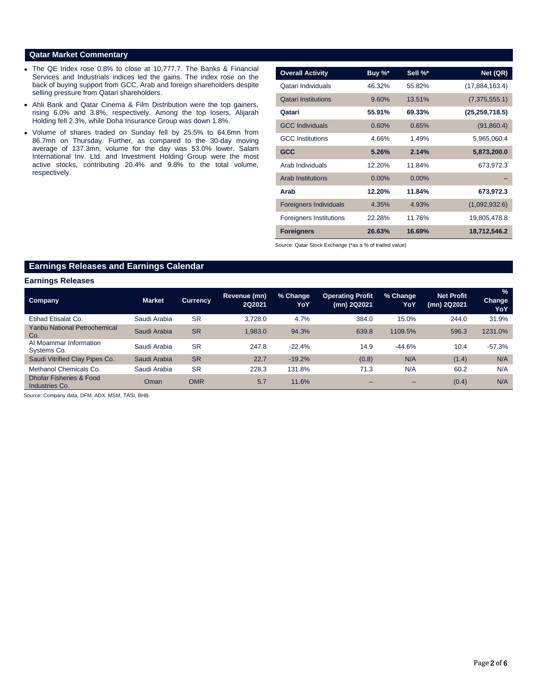### **Qatar Market Commentary**

- The QE Index rose 0.8% to close at 10,777.7. The Banks & Financial Services and Industrials indices led the gains. The index rose on the back of buying support from GCC, Arab and foreign shareholders despite selling pressure from Qatari shareholders.
- Ahli Bank and Qatar Cinema & Film Distribution were the top gainers, rising 6.0% and 3.8%, respectively. Among the top losers, Alijarah Holding fell 2.3%, while Doha Insurance Group was down 1.8%.
- Volume of shares traded on Sunday fell by 25.5% to 64.6mn from 86.7mn on Thursday. Further, as compared to the 30-day moving average of 137.3mn, volume for the day was 53.0% lower. Salam International Inv. Ltd. and Investment Holding Group were the most active stocks, contributing 20.4% and 9.8% to the total volume, respectively.

| <b>Overall Activity</b>        | Buy %*   | Sell %*  | Net (QR)         |
|--------------------------------|----------|----------|------------------|
| Qatari Individuals             | 46.32%   | 55.82%   | (17,884,163.4)   |
| <b>Qatari Institutions</b>     | 9.60%    | 13.51%   | (7,375,555.1)    |
| Qatari                         | 55.91%   | 69.33%   | (25, 259, 718.5) |
| <b>GCC Individuals</b>         | 0.60%    | 0.65%    | (91,860.4)       |
| <b>GCC</b> Institutions        | 4.66%    | 1.49%    | 5,965,060.4      |
| <b>GCC</b>                     | 5.26%    | 2.14%    | 5,873,200.0      |
| Arab Individuals               | 12.20%   | 11.84%   | 673,972.3        |
| <b>Arab Institutions</b>       | $0.00\%$ | $0.00\%$ |                  |
| Arab                           | 12.20%   | 11.84%   | 673,972.3        |
| <b>Foreigners Individuals</b>  | 4.35%    | 4.93%    | (1,092,932.6)    |
| <b>Foreigners Institutions</b> | 22.28%   | 11.76%   | 19,805,478.8     |
| <b>Foreigners</b>              | 26.63%   | 16.69%   | 18,712,546.2     |

Source: Qatar Stock Exchange (\*as a % of traded value)

# **Earnings Releases and Earnings Calendar**

#### **Earnings Releases**

| <b>Company</b>                             | <b>Market</b> | <b>Currency</b> | Revenue (mn)<br>2Q2021 | % Change<br>YoY | <b>Operating Profit</b><br>(mn) 2Q2021 | % Change<br>YoY | <b>Net Profit</b><br>(mn) 2Q2021 | $\frac{9}{6}$<br><b>Change</b><br><b>YoY</b> |
|--------------------------------------------|---------------|-----------------|------------------------|-----------------|----------------------------------------|-----------------|----------------------------------|----------------------------------------------|
| Etihad Etisalat Co.                        | Saudi Arabia  | <b>SR</b>       | 3.728.0                | 4.7%            | 384.0                                  | 15.0%           | 244.0                            | 31.9%                                        |
| <b>Yanbu National Petrochemical</b><br>Co. | Saudi Arabia  | <b>SR</b>       | 1.983.0                | 94.3%           | 639.8                                  | 1109.5%         | 596.3                            | 1231.0%                                      |
| Al Moammar Information<br>Systems Co.      | Saudi Arabia  | <b>SR</b>       | 247.8                  | $-22.4%$        | 14.9                                   | $-44.6%$        | 10.4                             | $-57.3%$                                     |
| Saudi Vitrified Clay Pipes Co.             | Saudi Arabia  | <b>SR</b>       | 22.7                   | $-19.2%$        | (0.8)                                  | N/A             | (1.4)                            | N/A                                          |
| Methanol Chemicals Co.                     | Saudi Arabia  | <b>SR</b>       | 228.3                  | 131.8%          | 71.3                                   | N/A             | 60.2                             | N/A                                          |
| Dhofar Fisheries & Food<br>Industries Co.  | Oman          | <b>OMR</b>      | 5.7                    | 11.6%           |                                        | -               | (0.4)                            | N/A                                          |

Source: Company data, DFM, ADX, MSM, TASI, BHB.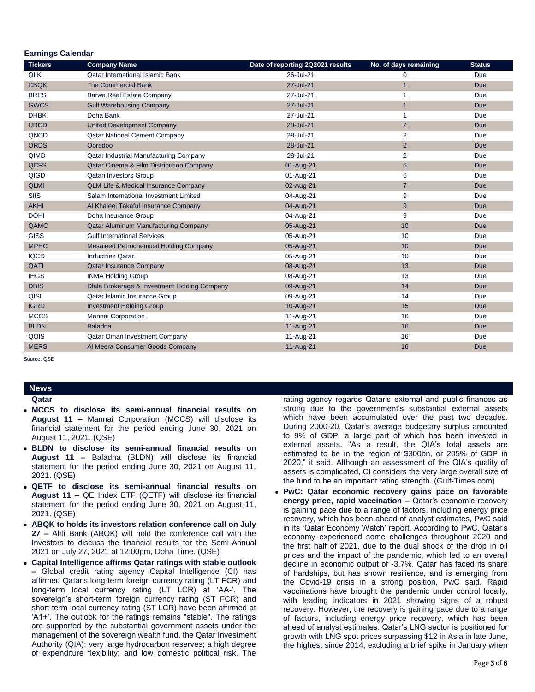| Larmiyə valtıludi<br><b>Tickers</b> | <b>Company Name</b>                             | Date of reporting 2Q2021 results | No. of days remaining | <b>Status</b> |
|-------------------------------------|-------------------------------------------------|----------------------------------|-----------------------|---------------|
| QIIK                                | <b>Qatar International Islamic Bank</b>         | 26-Jul-21                        | 0                     | Due           |
| <b>CBQK</b>                         | <b>The Commercial Bank</b>                      | 27-Jul-21                        | $\overline{1}$        | <b>Due</b>    |
| <b>BRES</b>                         | Barwa Real Estate Company                       | 27-Jul-21                        | $\mathbf 1$           | Due           |
| <b>GWCS</b>                         | <b>Gulf Warehousing Company</b>                 | 27-Jul-21                        | $\mathbf{1}$          | <b>Due</b>    |
| <b>DHBK</b>                         | Doha Bank                                       | 27-Jul-21                        | $\mathbf{1}$          | Due           |
| <b>UDCD</b>                         | <b>United Development Company</b>               | 28-Jul-21                        | $\overline{2}$        | <b>Due</b>    |
| QNCD                                | <b>Qatar National Cement Company</b>            | 28-Jul-21                        | $\overline{2}$        | Due           |
| <b>ORDS</b>                         | Ooredoo                                         | 28-Jul-21                        | $\overline{2}$        | <b>Due</b>    |
| QIMD                                | Qatar Industrial Manufacturing Company          | 28-Jul-21                        | $\overline{2}$        | Due           |
| <b>QCFS</b>                         | Qatar Cinema & Film Distribution Company        | 01-Aug-21                        | $6\phantom{1}6$       | Due           |
| QIGD                                | Qatari Investors Group                          | 01-Aug-21                        | 6                     | Due           |
| <b>QLMI</b>                         | <b>QLM Life &amp; Medical Insurance Company</b> | 02-Aug-21                        | $\overline{7}$        | <b>Due</b>    |
| <b>SIIS</b>                         | Salam International Investment Limited          | 04-Aug-21                        | 9                     | Due           |
| <b>AKHI</b>                         | Al Khaleej Takaful Insurance Company            | 04-Aug-21                        | 9                     | Due           |
| <b>DOHI</b>                         | Doha Insurance Group                            | 04-Aug-21                        | 9                     | Due           |
| QAMC                                | Qatar Aluminum Manufacturing Company            | 05-Aug-21                        | 10                    | <b>Due</b>    |
| <b>GISS</b>                         | <b>Gulf International Services</b>              | 05-Aug-21                        | 10                    | Due           |
| <b>MPHC</b>                         | Mesaieed Petrochemical Holding Company          | 05-Aug-21                        | 10                    | <b>Due</b>    |
| <b>IQCD</b>                         | <b>Industries Oatar</b>                         | 05-Aug-21                        | 10                    | Due           |
| QATI                                | <b>Qatar Insurance Company</b>                  | 08-Aug-21                        | 13                    | <b>Due</b>    |
| <b>IHGS</b>                         | <b>INMA Holding Group</b>                       | 08-Aug-21                        | 13                    | Due           |
| <b>DBIS</b>                         | Dlala Brokerage & Investment Holding Company    | 09-Aug-21                        | 14                    | <b>Due</b>    |
| QISI                                | Qatar Islamic Insurance Group                   | 09-Aug-21                        | 14                    | Due           |
| <b>IGRD</b>                         | <b>Investment Holding Group</b>                 | 10-Aug-21                        | 15                    | <b>Due</b>    |
| <b>MCCS</b>                         | Mannai Corporation                              | 11-Aug-21                        | 16                    | Due           |
| <b>BLDN</b>                         | <b>Baladna</b>                                  | 11-Aug-21                        | 16                    | <b>Due</b>    |
| QOIS                                | <b>Qatar Oman Investment Company</b>            | 11-Aug-21                        | 16                    | Due           |
| <b>MERS</b>                         | Al Meera Consumer Goods Company                 | 11-Aug-21                        | 16                    | Due           |

Source: QSE

 **Earnings Calendar**

#### **News Qatar**

- **MCCS to disclose its semi-annual financial results on August 11 –** Mannai Corporation (MCCS) will disclose its financial statement for the period ending June 30, 2021 on August 11, 2021. (QSE)
- **BLDN to disclose its semi-annual financial results on August 11 –** Baladna (BLDN) will disclose its financial statement for the period ending June 30, 2021 on August 11, 2021. (QSE)
- **QETF to disclose its semi-annual financial results on August 11 –** QE Index ETF (QETF) will disclose its financial statement for the period ending June 30, 2021 on August 11, 2021. (QSE)
- **ABQK to holds its investors relation conference call on July 27 –** Ahli Bank (ABQK) will hold the conference call with the Investors to discuss the financial results for the Semi-Annual 2021 on July 27, 2021 at 12:00pm, Doha Time. (QSE)
- **Capital Intelligence affirms Qatar ratings with stable outlook –** Global credit rating agency Capital Intelligence (CI) has affirmed Qatar's long-term foreign currency rating (LT FCR) and long-term local currency rating (LT LCR) at 'AA-'. The sovereign's short-term foreign currency rating (ST FCR) and short-term local currency rating (ST LCR) have been affirmed at 'A1+'. The outlook for the ratings remains "stable". The ratings are supported by the substantial government assets under the management of the sovereign wealth fund, the Qatar Investment Authority (QIA); very large hydrocarbon reserves; a high degree of expenditure flexibility; and low domestic political risk. The

rating agency regards Qatar's external and public finances as strong due to the government's substantial external assets which have been accumulated over the past two decades. During 2000-20, Qatar's average budgetary surplus amounted to 9% of GDP, a large part of which has been invested in external assets. "As a result, the QIA's total assets are estimated to be in the region of \$300bn, or 205% of GDP in 2020," it said. Although an assessment of the QIA's quality of assets is complicated, CI considers the very large overall size of the fund to be an important rating strength. (Gulf-Times.com)

 **PwC: Qatar economic recovery gains pace on favorable energy price, rapid vaccination –** Qatar's economic recovery is gaining pace due to a range of factors, including energy price recovery, which has been ahead of analyst estimates, PwC said in its 'Qatar Economy Watch' report. According to PwC, Qatar's economy experienced some challenges throughout 2020 and the first half of 2021, due to the dual shock of the drop in oil prices and the impact of the pandemic, which led to an overall decline in economic output of -3.7%. Qatar has faced its share of hardships, but has shown resilience, and is emerging from the Covid-19 crisis in a strong position, PwC said. Rapid vaccinations have brought the pandemic under control locally, with leading indicators in 2021 showing signs of a robust recovery. However, the recovery is gaining pace due to a range of factors, including energy price recovery, which has been ahead of analyst estimates. Qatar's LNG sector is positioned for growth with LNG spot prices surpassing \$12 in Asia in late June, the highest since 2014, excluding a brief spike in January when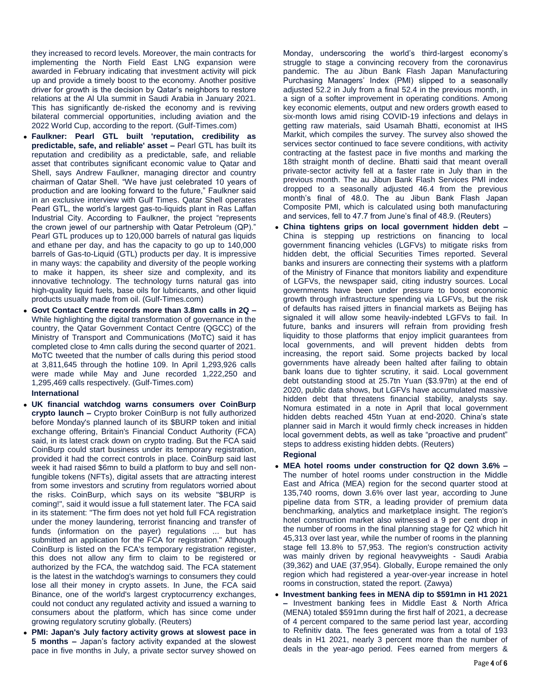they increased to record levels. Moreover, the main contracts for implementing the North Field East LNG expansion were awarded in February indicating that investment activity will pick up and provide a timely boost to the economy. Another positive driver for growth is the decision by Qatar's neighbors to restore relations at the Al Ula summit in Saudi Arabia in January 2021. This has significantly de-risked the economy and is reviving bilateral commercial opportunities, including aviation and the 2022 World Cup, according to the report. (Gulf-Times.com)

- **Faulkner: Pearl GTL built 'reputation, credibility as predictable, safe, and reliable' asset –** Pearl GTL has built its reputation and credibility as a predictable, safe, and reliable asset that contributes significant economic value to Qatar and Shell, says Andrew Faulkner, managing director and country chairman of Qatar Shell. "We have just celebrated 10 years of production and are looking forward to the future," Faulkner said in an exclusive interview with Gulf Times. Qatar Shell operates Pearl GTL, the world's largest gas-to-liquids plant in Ras Laffan Industrial City. According to Faulkner, the project "represents the crown jewel of our partnership with Qatar Petroleum (QP)." Pearl GTL produces up to 120,000 barrels of natural gas liquids and ethane per day, and has the capacity to go up to 140,000 barrels of Gas-to-Liquid (GTL) products per day. It is impressive in many ways: the capability and diversity of the people working to make it happen, its sheer size and complexity, and its innovative technology. The technology turns natural gas into high-quality liquid fuels, base oils for lubricants, and other liquid products usually made from oil. (Gulf-Times.com)
- **Govt Contact Centre records more than 3.8mn calls in 2Q –** While highlighting the digital transformation of governance in the country, the Qatar Government Contact Centre (QGCC) of the Ministry of Transport and Communications (MoTC) said it has completed close to 4mn calls during the second quarter of 2021. MoTC tweeted that the number of calls during this period stood at 3,811,645 through the hotline 109. In April 1,293,926 calls were made while May and June recorded 1,222,250 and 1,295,469 calls respectively. (Gulf-Times.com)

### **International**

- **UK financial watchdog warns consumers over CoinBurp crypto launch –** Crypto broker CoinBurp is not fully authorized before Monday's planned launch of its \$BURP token and initial exchange offering, Britain's Financial Conduct Authority (FCA) said, in its latest crack down on crypto trading. But the FCA said CoinBurp could start business under its temporary registration, provided it had the correct controls in place. CoinBurp said last week it had raised \$6mn to build a platform to buy and sell nonfungible tokens (NFTs), digital assets that are attracting interest from some investors and scrutiny from regulators worried about the risks. CoinBurp, which says on its website "\$BURP is coming!", said it would issue a full statement later. The FCA said in its statement: "The firm does not yet hold full FCA registration under the money laundering, terrorist financing and transfer of funds (information on the payer) regulations ... but has submitted an application for the FCA for registration." Although CoinBurp is listed on the FCA's temporary registration register, this does not allow any firm to claim to be registered or authorized by the FCA, the watchdog said. The FCA statement is the latest in the watchdog's warnings to consumers they could lose all their money in crypto assets. In June, the FCA said Binance, one of the world's largest cryptocurrency exchanges, could not conduct any regulated activity and issued a warning to consumers about the platform, which has since come under growing regulatory scrutiny globally. (Reuters)
- **PMI: Japan's July factory activity grows at slowest pace in 5 months –** Japan's factory activity expanded at the slowest pace in five months in July, a private sector survey showed on

Monday, underscoring the world's third-largest economy's struggle to stage a convincing recovery from the coronavirus pandemic. The au Jibun Bank Flash Japan Manufacturing Purchasing Managers' Index (PMI) slipped to a seasonally adjusted 52.2 in July from a final 52.4 in the previous month, in a sign of a softer improvement in operating conditions. Among key economic elements, output and new orders growth eased to six-month lows amid rising COVID-19 infections and delays in getting raw materials, said Usamah Bhatti, economist at IHS Markit, which compiles the survey. The survey also showed the services sector continued to face severe conditions, with activity contracting at the fastest pace in five months and marking the 18th straight month of decline. Bhatti said that meant overall private-sector activity fell at a faster rate in July than in the previous month. The au Jibun Bank Flash Services PMI index dropped to a seasonally adjusted 46.4 from the previous month's final of 48.0. The au Jibun Bank Flash Japan Composite PMI, which is calculated using both manufacturing and services, fell to 47.7 from June's final of 48.9. (Reuters)

 **China tightens grips on local government hidden debt –** China is stepping up restrictions on financing to local government financing vehicles (LGFVs) to mitigate risks from hidden debt, the official Securities Times reported. Several banks and insurers are connecting their systems with a platform of the Ministry of Finance that monitors liability and expenditure of LGFVs, the newspaper said, citing industry sources. Local governments have been under pressure to boost economic growth through infrastructure spending via LGFVs, but the risk of defaults has raised jitters in financial markets as Beijing has signaled it will allow some heavily-indebted LGFVs to fail. In future, banks and insurers will refrain from providing fresh liquidity to those platforms that enjoy implicit guarantees from local governments, and will prevent hidden debts from increasing, the report said. Some projects backed by local governments have already been halted after failing to obtain bank loans due to tighter scrutiny, it said. Local government debt outstanding stood at 25.7tn Yuan (\$3.97tn) at the end of 2020, public data shows, but LGFVs have accumulated massive hidden debt that threatens financial stability, analysts say. Nomura estimated in a note in April that local government hidden debts reached 45tn Yuan at end-2020. China's state planner said in March it would firmly check increases in hidden local government debts, as well as take "proactive and prudent" steps to address existing hidden debts. (Reuters)

## **Regional**

- **MEA hotel rooms under construction for Q2 down 3.6% –** The number of hotel rooms under construction in the Middle East and Africa (MEA) region for the second quarter stood at 135,740 rooms, down 3.6% over last year, according to June pipeline data from STR, a leading provider of premium data benchmarking, analytics and marketplace insight. The region's hotel construction market also witnessed a 9 per cent drop in the number of rooms in the final planning stage for Q2 which hit 45,313 over last year, while the number of rooms in the planning stage fell 13.8% to 57,953. The region's construction activity was mainly driven by regional heavyweights - Saudi Arabia (39,362) and UAE (37,954). Globally, Europe remained the only region which had registered a year-over-year increase in hotel rooms in construction, stated the report. (Zawya)
- **Investment banking fees in MENA dip to \$591mn in H1 2021 –** Investment banking fees in Middle East & North Africa (MENA) totaled \$591mn during the first half of 2021, a decrease of 4 percent compared to the same period last year, according to Refinitiv data. The fees generated was from a total of 193 deals in H1 2021, nearly 3 percent more than the number of deals in the year-ago period. Fees earned from mergers &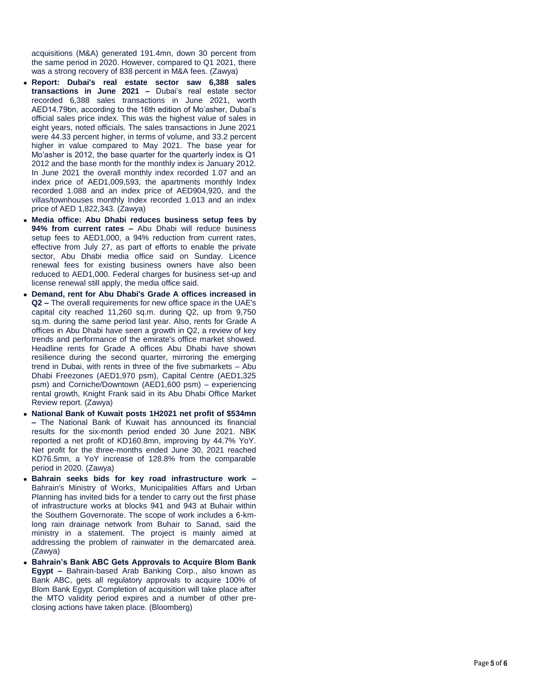acquisitions (M&A) generated 191.4mn, down 30 percent from the same period in 2020. However, compared to Q1 2021, there was a strong recovery of 838 percent in M&A fees. (Zawya)

- **Report: Dubai's real estate sector saw 6,388 sales transactions in June 2021 –** Dubai's real estate sector recorded 6,388 sales transactions in June 2021, worth AED14.79bn, according to the 16th edition of Mo'asher, Dubai's official sales price index. This was the highest value of sales in eight years, noted officials. The sales transactions in June 2021 were 44.33 percent higher, in terms of volume, and 33.2 percent higher in value compared to May 2021. The base year for Mo'asher is 2012, the base quarter for the quarterly index is Q1 2012 and the base month for the monthly index is January 2012. In June 2021 the overall monthly index recorded 1.07 and an index price of AED1,009,593, the apartments monthly Index recorded 1.088 and an index price of AED904,920, and the villas/townhouses monthly Index recorded 1.013 and an index price of AED 1,822,343. (Zawya)
- **Media office: Abu Dhabi reduces business setup fees by 94% from current rates –** Abu Dhabi will reduce business setup fees to AED1,000, a 94% reduction from current rates, effective from July 27, as part of efforts to enable the private sector, Abu Dhabi media office said on Sunday. Licence renewal fees for existing business owners have also been reduced to AED1,000. Federal charges for business set -up and license renewal still apply, the media office said.
- **Demand, rent for Abu Dhabi's Grade A offices increased in Q2 –** The overall requirements for new office space in the UAE's capital city reached 11,260 sq.m. during Q2, up from 9,750 sq.m. during the same period last year. Also, rents for Grade A offices in Abu Dhabi have seen a growth in Q2, a review of key trends and performance of the emirate's office market showed. Headline rents for Grade A offices Abu Dhabi have shown resilience during the second quarter, mirroring the emerging trend in Dubai, with rents in three of the five submarkets – Abu Dhabi Freezones (AED1,970 psm), Capital Centre (AED1,325 psm) and Corniche/Downtown (AED1,600 psm) – experiencing rental growth, Knight Frank said in its Abu Dhabi Office Market Review report. (Zawya)
- **National Bank of Kuwait posts 1H2021 net profit of \$534mn –** The National Bank of Kuwait has announced its financial results for the six -month period ended 30 June 2021. NBK reported a net profit of KD160.8mn, improving by 44.7% YoY. Net profit for the three -months ended June 30, 2021 reached KD76.5mn, a YoY increase of 128.8% from the comparable period in 2020. (Zawya)
- **Bahrain seeks bids for key road infrastructure work –** Bahrain's Ministry of Works, Municipalities Affars and Urban Planning has invited bids for a tender to carry out the first phase of infrastructure works at blocks 941 and 943 at Buhair within the Southern Governorate. The scope of work includes a 6 -km long rain drainage network from Buhair to Sanad, said the ministry in a statement. The project is mainly aimed at addressing the problem of rainwater in the demarcated area. (Zawya)
- **Bahrain's Bank ABC Gets Approvals to Acquire Blom Bank Egypt –** Bahrain-based Arab Banking Corp., also known as Bank ABC, gets all regulatory approvals to acquire 100% of Blom Bank Egypt. Completion of acquisition will take place after the MTO validity period expires and a number of other pre closing actions have taken place. (Bloomberg)